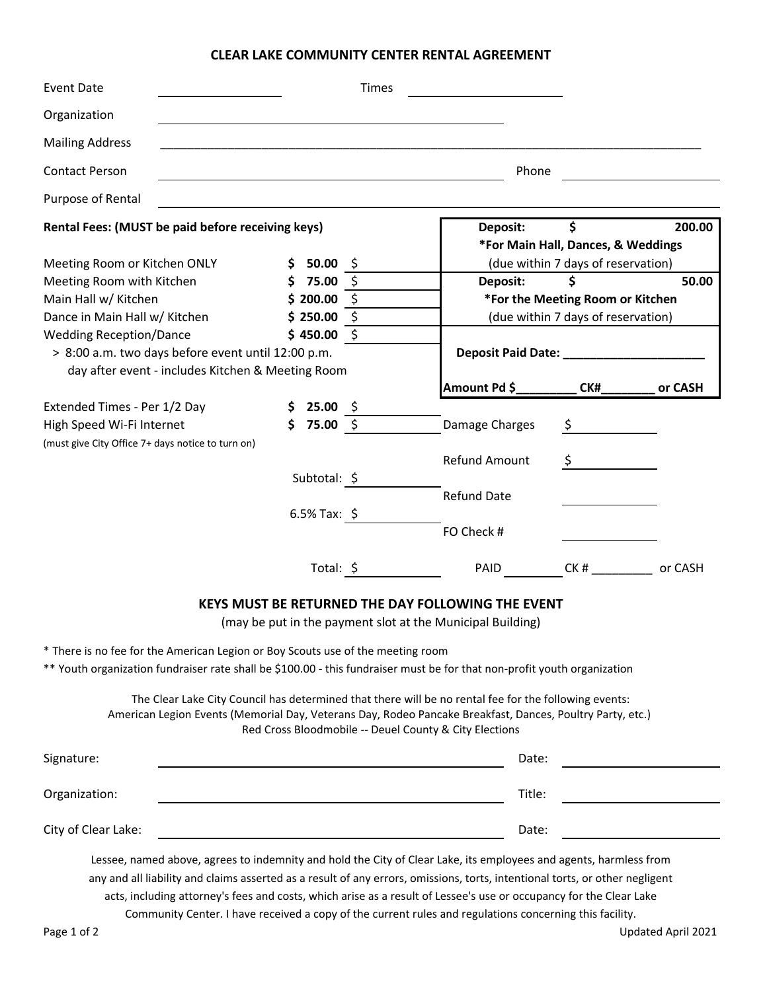## **CLEAR LAKE COMMUNITY CENTER RENTAL AGREEMENT**

| <b>Event Date</b>                                                                                                                                                                                                                                                            |                                                                                                                                                                                                                                                                                                                                                                         |            |                  | Times |  |                                                                |                                    |                               |  |
|------------------------------------------------------------------------------------------------------------------------------------------------------------------------------------------------------------------------------------------------------------------------------|-------------------------------------------------------------------------------------------------------------------------------------------------------------------------------------------------------------------------------------------------------------------------------------------------------------------------------------------------------------------------|------------|------------------|-------|--|----------------------------------------------------------------|------------------------------------|-------------------------------|--|
| Organization                                                                                                                                                                                                                                                                 |                                                                                                                                                                                                                                                                                                                                                                         |            |                  |       |  |                                                                |                                    |                               |  |
| <b>Mailing Address</b>                                                                                                                                                                                                                                                       |                                                                                                                                                                                                                                                                                                                                                                         |            |                  |       |  |                                                                |                                    |                               |  |
| <b>Contact Person</b>                                                                                                                                                                                                                                                        |                                                                                                                                                                                                                                                                                                                                                                         |            |                  |       |  | Phone                                                          |                                    |                               |  |
| Purpose of Rental                                                                                                                                                                                                                                                            |                                                                                                                                                                                                                                                                                                                                                                         |            |                  |       |  |                                                                |                                    |                               |  |
| Rental Fees: (MUST be paid before receiving keys)                                                                                                                                                                                                                            |                                                                                                                                                                                                                                                                                                                                                                         |            |                  |       |  | \$<br>200.00<br>Deposit:<br>*For Main Hall, Dances, & Weddings |                                    |                               |  |
| Meeting Room or Kitchen ONLY                                                                                                                                                                                                                                                 |                                                                                                                                                                                                                                                                                                                                                                         |            | \$50.00\$        |       |  |                                                                | (due within 7 days of reservation) |                               |  |
| Meeting Room with Kitchen                                                                                                                                                                                                                                                    |                                                                                                                                                                                                                                                                                                                                                                         |            | \$75.00\$        |       |  | Deposit:                                                       | \$                                 | 50.00                         |  |
| Main Hall w/ Kitchen                                                                                                                                                                                                                                                         |                                                                                                                                                                                                                                                                                                                                                                         |            | \$<br>\$200.00   |       |  |                                                                | *For the Meeting Room or Kitchen   |                               |  |
| Dance in Main Hall w/ Kitchen                                                                                                                                                                                                                                                |                                                                                                                                                                                                                                                                                                                                                                         |            | \$250.00<br>- \$ |       |  |                                                                | (due within 7 days of reservation) |                               |  |
| <b>Wedding Reception/Dance</b>                                                                                                                                                                                                                                               |                                                                                                                                                                                                                                                                                                                                                                         | \$450.00\$ |                  |       |  |                                                                |                                    |                               |  |
| > 8:00 a.m. two days before event until 12:00 p.m.                                                                                                                                                                                                                           |                                                                                                                                                                                                                                                                                                                                                                         |            |                  |       |  | Deposit Paid Date: National Paint Paid Date:                   |                                    |                               |  |
| day after event - includes Kitchen & Meeting Room                                                                                                                                                                                                                            |                                                                                                                                                                                                                                                                                                                                                                         |            |                  |       |  |                                                                |                                    |                               |  |
|                                                                                                                                                                                                                                                                              |                                                                                                                                                                                                                                                                                                                                                                         |            |                  |       |  | Amount Pd \$__                                                 | CK#                                | or CASH                       |  |
| Extended Times - Per 1/2 Day                                                                                                                                                                                                                                                 |                                                                                                                                                                                                                                                                                                                                                                         |            | \$25.00\$        |       |  |                                                                |                                    |                               |  |
| High Speed Wi-Fi Internet                                                                                                                                                                                                                                                    |                                                                                                                                                                                                                                                                                                                                                                         |            | \$75.00\$        |       |  | Damage Charges                                                 | \$                                 |                               |  |
| (must give City Office 7+ days notice to turn on)                                                                                                                                                                                                                            |                                                                                                                                                                                                                                                                                                                                                                         |            |                  |       |  |                                                                |                                    |                               |  |
|                                                                                                                                                                                                                                                                              |                                                                                                                                                                                                                                                                                                                                                                         |            |                  |       |  | Refund Amount                                                  |                                    |                               |  |
|                                                                                                                                                                                                                                                                              |                                                                                                                                                                                                                                                                                                                                                                         |            | Subtotal: \$     |       |  |                                                                |                                    |                               |  |
|                                                                                                                                                                                                                                                                              |                                                                                                                                                                                                                                                                                                                                                                         |            |                  |       |  | <b>Refund Date</b>                                             |                                    |                               |  |
|                                                                                                                                                                                                                                                                              |                                                                                                                                                                                                                                                                                                                                                                         |            | $6.5\%$ Tax: \$  |       |  |                                                                |                                    |                               |  |
|                                                                                                                                                                                                                                                                              |                                                                                                                                                                                                                                                                                                                                                                         |            |                  |       |  | FO Check #                                                     |                                    |                               |  |
|                                                                                                                                                                                                                                                                              |                                                                                                                                                                                                                                                                                                                                                                         |            | Total: \$        |       |  | PAID                                                           |                                    | CK # ________________ or CASH |  |
| <b>KEYS MUST BE RETURNED THE DAY FOLLOWING THE EVENT</b><br>(may be put in the payment slot at the Municipal Building)<br>* There is no fee for the American Legion or Boy Scouts use of the meeting room                                                                    |                                                                                                                                                                                                                                                                                                                                                                         |            |                  |       |  |                                                                |                                    |                               |  |
|                                                                                                                                                                                                                                                                              | ** Youth organization fundraiser rate shall be \$100.00 - this fundraiser must be for that non-profit youth organization                                                                                                                                                                                                                                                |            |                  |       |  |                                                                |                                    |                               |  |
| The Clear Lake City Council has determined that there will be no rental fee for the following events:<br>American Legion Events (Memorial Day, Veterans Day, Rodeo Pancake Breakfast, Dances, Poultry Party, etc.)<br>Red Cross Bloodmobile -- Deuel County & City Elections |                                                                                                                                                                                                                                                                                                                                                                         |            |                  |       |  |                                                                |                                    |                               |  |
| Signature:                                                                                                                                                                                                                                                                   |                                                                                                                                                                                                                                                                                                                                                                         |            |                  |       |  | Date:                                                          |                                    |                               |  |
| Organization:                                                                                                                                                                                                                                                                |                                                                                                                                                                                                                                                                                                                                                                         |            |                  |       |  | Title:                                                         |                                    |                               |  |
| City of Clear Lake:                                                                                                                                                                                                                                                          |                                                                                                                                                                                                                                                                                                                                                                         |            |                  |       |  | Date:                                                          |                                    |                               |  |
|                                                                                                                                                                                                                                                                              | Lessee, named above, agrees to indemnity and hold the City of Clear Lake, its employees and agents, harmless from<br>any and all liability and claims asserted as a result of any errors, omissions, torts, intentional torts, or other negligent<br>acts, including attorney's fees and costs, which arise as a result of Lessee's use or occupancy for the Clear Lake |            |                  |       |  |                                                                |                                    |                               |  |

Community Center. I have received a copy of the current rules and regulations concerning this facility.